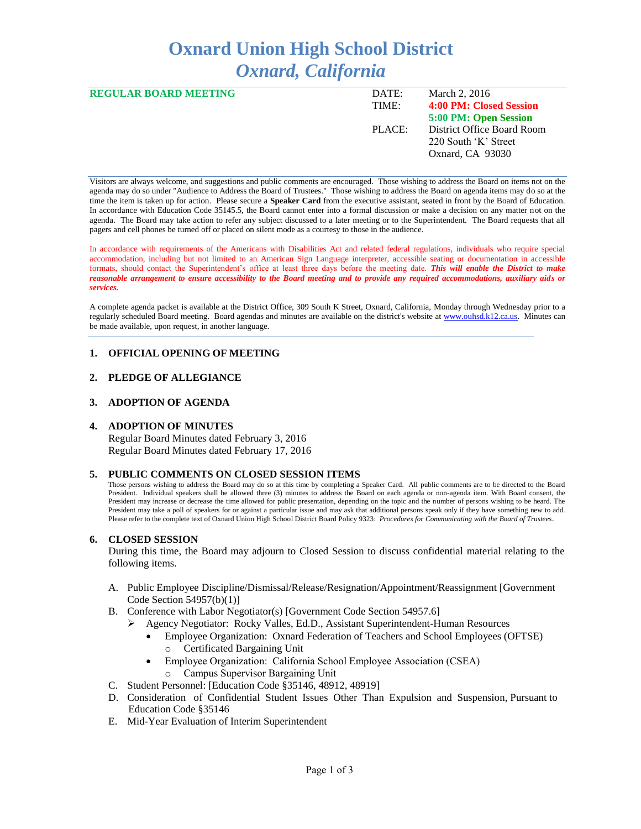# **Oxnard Union High School District** *Oxnard, California*

| <b>REGULAR BOARD MEETING</b> | DATE:  | March 2, 2016              |
|------------------------------|--------|----------------------------|
|                              | TIME:  | 4:00 PM: Closed Session    |
|                              |        | 5:00 PM: Open Session      |
|                              | PLACE: | District Office Board Room |
|                              |        | 220 South 'K' Street       |
|                              |        | Oxnard, CA 93030           |
|                              |        |                            |

Visitors are always welcome, and suggestions and public comments are encouraged. Those wishing to address the Board on items not on the agenda may do so under "Audience to Address the Board of Trustees." Those wishing to address the Board on agenda items may do so at the time the item is taken up for action. Please secure a **Speaker Card** from the executive assistant, seated in front by the Board of Education. In accordance with Education Code 35145.5, the Board cannot enter into a formal discussion or make a decision on any matter not on the agenda. The Board may take action to refer any subject discussed to a later meeting or to the Superintendent. The Board requests that all pagers and cell phones be turned off or placed on silent mode as a courtesy to those in the audience.

In accordance with requirements of the Americans with Disabilities Act and related federal regulations, individuals who require special accommodation, including but not limited to an American Sign Language interpreter, accessible seating or documentation in accessible formats, should contact the Superintendent's office at least three days before the meeting date. *This will enable the District to make reasonable arrangement to ensure accessibility to the Board meeting and to provide any required accommodations, auxiliary aids or services.* 

A complete agenda packet is available at the District Office, 309 South K Street, Oxnard, California, Monday through Wednesday prior to a regularly scheduled Board meeting. Board agendas and minutes are available on the district's website a[t www.ouhsd.k12.ca.us.](http://www.ouhsd.k12.ca.us/)Minutes can be made available, upon request, in another language.

## **1. OFFICIAL OPENING OF MEETING**

## **2. PLEDGE OF ALLEGIANCE**

## **3. ADOPTION OF AGENDA**

#### **4. ADOPTION OF MINUTES**

Regular Board Minutes dated February 3, 2016 Regular Board Minutes dated February 17, 2016

#### **5. PUBLIC COMMENTS ON CLOSED SESSION ITEMS**

Those persons wishing to address the Board may do so at this time by completing a Speaker Card. All public comments are to be directed to the Board President. Individual speakers shall be allowed three (3) minutes to address the Board on each agenda or non-agenda item. With Board consent, the President may increase or decrease the time allowed for public presentation, depending on the topic and the number of persons wishing to be heard. The President may take a poll of speakers for or against a particular issue and may ask that additional persons speak only if they have something new to add. Please refer to the complete text of Oxnard Union High School District Board Policy 9323: *Procedures for Communicating with the Board of Trustees*.

#### **6. CLOSED SESSION**

During this time, the Board may adjourn to Closed Session to discuss confidential material relating to the following items.

- A. Public Employee Discipline/Dismissal/Release/Resignation/Appointment/Reassignment [Government Code Section 54957(b)(1)]
- B. Conference with Labor Negotiator(s) [Government Code Section 54957.6]
	- Agency Negotiator: Rocky Valles, Ed.D., Assistant Superintendent-Human Resources
		- Employee Organization: Oxnard Federation of Teachers and School Employees (OFTSE) o Certificated Bargaining Unit
		- Employee Organization: California School Employee Association (CSEA) Campus Supervisor Bargaining Unit
- C. Student Personnel: [Education Code §35146, 48912, 48919]
- D. Consideration of Confidential Student Issues Other Than Expulsion and Suspension, Pursuant to Education Code §35146
- E. Mid-Year Evaluation of Interim Superintendent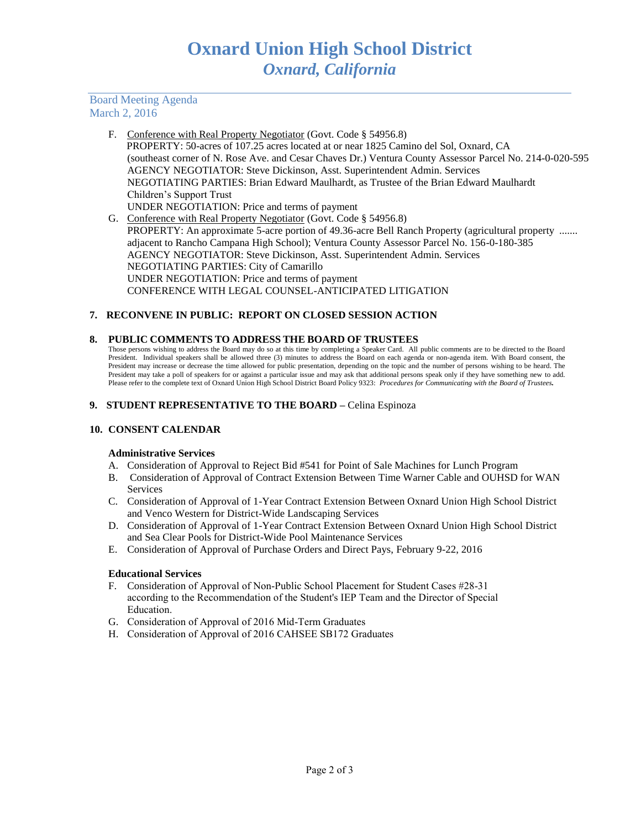# Board Meeting Agenda March 2, 2016

- F. Conference with Real Property Negotiator (Govt. Code § 54956.8) PROPERTY: 50-acres of 107.25 acres located at or near 1825 Camino del Sol, Oxnard, CA (southeast corner of N. Rose Ave. and Cesar Chaves Dr.) Ventura County Assessor Parcel No. 214-0-020-595 AGENCY NEGOTIATOR: Steve Dickinson, Asst. Superintendent Admin. Services NEGOTIATING PARTIES: Brian Edward Maulhardt, as Trustee of the Brian Edward Maulhardt Children's Support Trust UNDER NEGOTIATION: Price and terms of payment
- G. Conference with Real Property Negotiator (Govt. Code § 54956.8) PROPERTY: An approximate 5-acre portion of 49.36-acre Bell Ranch Property (agricultural property ....... adjacent to Rancho Campana High School); Ventura County Assessor Parcel No. 156-0-180-385 AGENCY NEGOTIATOR: Steve Dickinson, Asst. Superintendent Admin. Services NEGOTIATING PARTIES: City of Camarillo UNDER NEGOTIATION: Price and terms of payment CONFERENCE WITH LEGAL COUNSEL-ANTICIPATED LITIGATION

# **7. RECONVENE IN PUBLIC: REPORT ON CLOSED SESSION ACTION**

## **8. PUBLIC COMMENTS TO ADDRESS THE BOARD OF TRUSTEES**

Those persons wishing to address the Board may do so at this time by completing a Speaker Card. All public comments are to be directed to the Board President. Individual speakers shall be allowed three (3) minutes to address the Board on each agenda or non-agenda item. With Board consent, the President may increase or decrease the time allowed for public presentation, depending on the topic and the number of persons wishing to be heard. The President may take a poll of speakers for or against a particular issue and may ask that additional persons speak only if they have something new to add. Please refer to the complete text of Oxnard Union High School District Board Policy 9323: *Procedures for Communicating with the Board of Trustees.*

## **9. STUDENT REPRESENTATIVE TO THE BOARD –** Celina Espinoza

## **10. CONSENT CALENDAR**

#### **Administrative Services**

- A. Consideration of Approval to Reject Bid #541 for Point of Sale Machines for Lunch Program
- B. Consideration of Approval of Contract Extension Between Time Warner Cable and OUHSD for WAN Services
- C. Consideration of Approval of 1-Year Contract Extension Between Oxnard Union High School District and Venco Western for District-Wide Landscaping Services
- D. Consideration of Approval of 1-Year Contract Extension Between Oxnard Union High School District and Sea Clear Pools for District-Wide Pool Maintenance Services
- E. Consideration of Approval of Purchase Orders and Direct Pays, February 9-22, 2016

#### **Educational Services**

- F. Consideration of Approval of Non-Public School Placement for Student Cases #28-31 according to the Recommendation of the Student's IEP Team and the Director of Special Education.
- G. Consideration of Approval of 2016 Mid-Term Graduates
- H. Consideration of Approval of 2016 CAHSEE SB172 Graduates